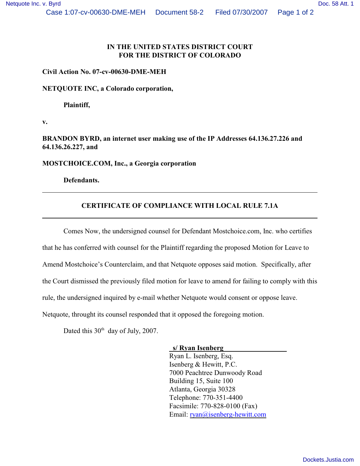## **IN THE UNITED STATES DISTRICT COURT FOR THE DISTRICT OF COLORADO**

#### **Civil Action No. 07-cv-00630-DME-MEH**

**NETQUOTE INC, a Colorado corporation,**

**Plaintiff,**

**v.**

**BRANDON BYRD, an internet user making use of the IP Addresses 64.136.27.226 and 64.136.26.227, and**

**MOSTCHOICE.COM, Inc., a Georgia corporation**

**Defendants.**

### **CERTIFICATE OF COMPLIANCE WITH LOCAL RULE 7.1A**

Comes Now, the undersigned counsel for Defendant Mostchoice.com, Inc. who certifies that he has conferred with counsel for the Plaintiff regarding the proposed Motion for Leave to Amend Mostchoice's Counterclaim, and that Netquote opposes said motion. Specifically, after the Court dismissed the previously filed motion for leave to amend for failing to comply with this rule, the undersigned inquired by e-mail whether Netquote would consent or oppose leave. Netquote, throught its counsel responded that it opposed the foregoing motion.

Dated this  $30<sup>th</sup>$  day of July, 2007.

#### **s/ Ryan Isenberg**

Ryan L. Isenberg, Esq. Isenberg & Hewitt, P.C. 7000 Peachtree Dunwoody Road Building 15, Suite 100 Atlanta, Georgia 30328 Telephone: 770-351-4400 Facsimile: 770-828-0100 (Fax) Email: [ryan@isenberg-hewitt.com](mailto:ryan@isenberg-hewitt.com)